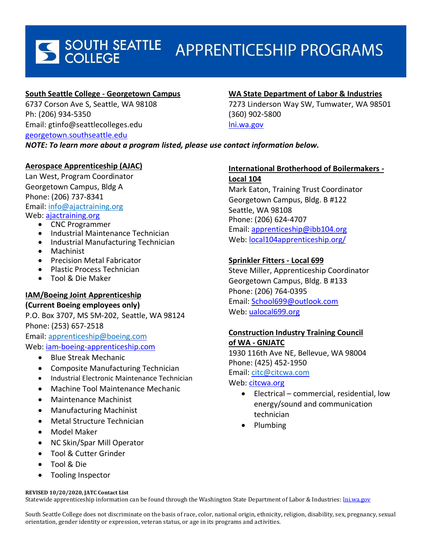# S SOUTH SEATTLE **APPRENTICESHIP PROGRAMS**

# **South Seattle College - Georgetown Campus**

6737 Corson Ave S, Seattle, WA 98108 Ph: (206) 934-5350 Email: gtinfo@seattlecolleges.edu

[georgetown.southseattle.edu](http://georgetown.southseattle.edu/)

# **WA State Department of Labor & Industries**

7273 Linderson Way SW, Tumwater, WA 98501 (360) 902-5800 [lni.wa.gov](https://www.lni.wa.gov/TradesLicensing/Apprenticeship/Programs/default.asp) 

*NOTE: To learn more about a program listed, please use contact information below.*

# **Aerospace Apprenticeship (AJAC)**

Lan West, Program Coordinator Georgetown Campus, Bldg A Phone: (206) 737-8341 Email: [info@ajactraining.org](mailto:info@ajactraining.org) Web: [ajactraining.org](http://www.ajactraining.org/)

- CNC Programmer
- Industrial Maintenance Technician
- Industrial Manufacturing Technician
- Machinist
- Precision Metal Fabricator
- Plastic Process Technician
- Tool & Die Maker

# **IAM/Boeing Joint Apprenticeship**

### **(Current Boeing employees only)**

P.O. Box 3707, MS 5M-202, Seattle, WA 98124 Phone: (253) 657-2518 Email: [apprenticeship@boeing.com](mailto:apprenticeship@boeing.com) Web: [iam-boeing-apprenticeship.com](file:///C:/Users/mac.writt.EAD.011/AppData/Local/Microsoft/Windows/Temporary%20Internet%20Files/Content.Outlook/PG4ROXIG/iam-boeing-apprenticeship.com)

- Blue Streak Mechanic
- Composite Manufacturing Technician
- Industrial Electronic Maintenance Technician
- Machine Tool Maintenance Mechanic
- Maintenance Machinist
- Manufacturing Machinist
- Metal Structure Technician
- Model Maker
- NC Skin/Spar Mill Operator
- Tool & Cutter Grinder
- Tool & Die
- Tooling Inspector

#### **REVISED 10/20/2020, JATC Contact List**

Statewide apprenticeship information can be found through the Washington State Department of Labor & Industries: *lni.wa.gov* 

South Seattle College does not discriminate on the basis of race, color, national origin, ethnicity, religion, disability, sex, pregnancy, sexual orientation, gender identity or expression, veteran status, or age in its programs and activities.

# **International Brotherhood of Boilermakers -**

**Local 104**  Mark Eaton, Training Trust Coordinator Georgetown Campus, Bldg. B #122 Seattle, WA 98108 Phone: (206) 624-4707 Email: [apprenticeship@ibb104.org](mailto:apprenticeship@ibb104.org) Web: [local104apprenticeship.org/](https://local104apprenticeship.org/)

# **Sprinkler Fitters - Local 699**

Steve Miller, Apprenticeship Coordinator Georgetown Campus, Bldg. B #133 Phone: (206) 764-0395 Email: [School699@outlook.com](mailto:School699@outlook.com) Web: [ualocal699.org](http://ualocal699.org/)

# **Construction Industry Training Council of WA - GNJATC**

1930 116th Ave NE, Bellevue, WA 98004 Phone: (425) 452-1950 Email: [citc@citcwa.com](mailto:citc@citcwa.com)

## Web: [citcwa.org](http://www.citcwa.org/)

- Electrical commercial, residential, low energy/sound and communication technician
- Plumbing